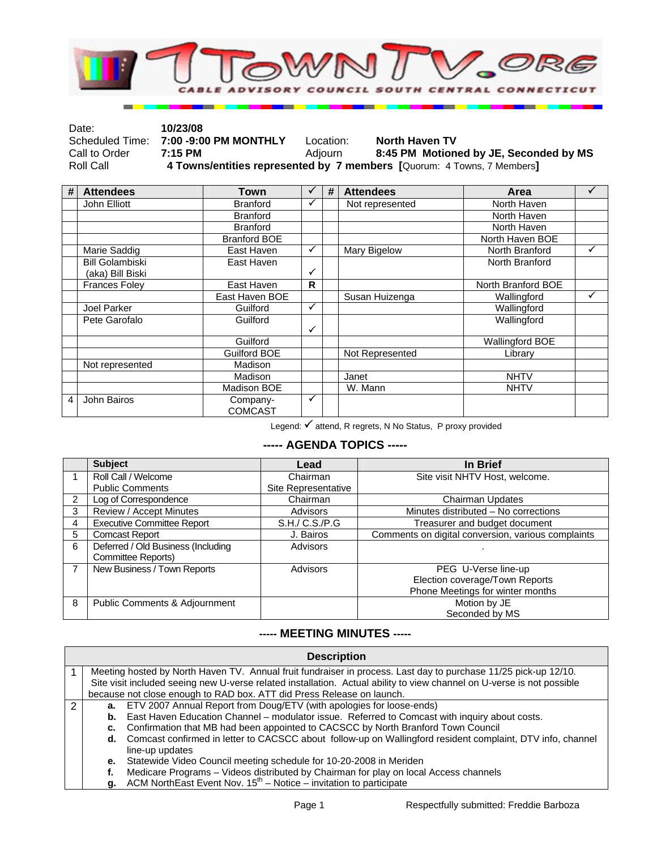

| Date:         | 10/23/08                              |           |                                                                        |
|---------------|---------------------------------------|-----------|------------------------------------------------------------------------|
|               | Scheduled Time: 7:00 -9:00 PM MONTHLY | Location: | <b>North Haven TV</b>                                                  |
| Call to Order | 7:15 PM                               | Adiourn   | 8:45 PM Motioned by JE, Seconded by MS                                 |
| Roll Call     |                                       |           | 4 Towns/entities represented by 7 members [Quorum: 4 Towns, 7 Members] |

| # | <b>Attendees</b>       | Town                | $\checkmark$ | # | <b>Attendees</b> | Area                   | ✓ |
|---|------------------------|---------------------|--------------|---|------------------|------------------------|---|
|   | John Elliott           | <b>Branford</b>     | ✓            |   | Not represented  | North Haven            |   |
|   |                        | <b>Branford</b>     |              |   |                  | North Haven            |   |
|   |                        | <b>Branford</b>     |              |   |                  | North Haven            |   |
|   |                        | <b>Branford BOE</b> |              |   |                  | North Haven BOE        |   |
|   | Marie Saddig           | East Haven          | $\checkmark$ |   | Mary Bigelow     | North Branford         | ✓ |
|   | <b>Bill Golambiski</b> | East Haven          |              |   |                  | North Branford         |   |
|   | (aka) Bill Biski       |                     | $\checkmark$ |   |                  |                        |   |
|   | <b>Frances Foley</b>   | East Haven          | $\mathsf{R}$ |   |                  | North Branford BOE     |   |
|   |                        | East Haven BOE      |              |   | Susan Huizenga   | Wallingford            | ✓ |
|   | Joel Parker            | Guilford            | $\checkmark$ |   |                  | Wallingford            |   |
|   | Pete Garofalo          | Guilford            |              |   |                  | Wallingford            |   |
|   |                        |                     | $\checkmark$ |   |                  |                        |   |
|   |                        | Guilford            |              |   |                  | <b>Wallingford BOE</b> |   |
|   |                        | <b>Guilford BOE</b> |              |   | Not Represented  | Library                |   |
|   | Not represented        | Madison             |              |   |                  |                        |   |
|   |                        | Madison             |              |   | Janet            | <b>NHTV</b>            |   |
|   |                        | Madison BOE         |              |   | W. Mann          | <b>NHTV</b>            |   |
| 4 | John Bairos            | Company-            | ✓            |   |                  |                        |   |
|   |                        | <b>COMCAST</b>      |              |   |                  |                        |   |

Legend: √ attend, R regrets, N No Status, P proxy provided

## **----- AGENDA TOPICS -----**

|                | <b>Subject</b>                           | Lead                | In Brief                                           |
|----------------|------------------------------------------|---------------------|----------------------------------------------------|
|                | Roll Call / Welcome                      | Chairman            | Site visit NHTV Host, welcome.                     |
|                | <b>Public Comments</b>                   | Site Representative |                                                    |
| $\overline{2}$ | Log of Correspondence                    | Chairman            | Chairman Updates                                   |
| 3              | Review / Accept Minutes                  | Advisors            | Minutes distributed - No corrections               |
| 4              | <b>Executive Committee Report</b>        | S.H./ C.S./P.G      | Treasurer and budget document                      |
| 5              | <b>Comcast Report</b>                    | J. Bairos           | Comments on digital conversion, various complaints |
| 6              | Deferred / Old Business (Including       | Advisors            |                                                    |
|                | Committee Reports)                       |                     |                                                    |
| $\overline{7}$ | New Business / Town Reports              | Advisors            | PEG U-Verse line-up                                |
|                |                                          |                     | Election coverage/Town Reports                     |
|                |                                          |                     | Phone Meetings for winter months                   |
| 8              | <b>Public Comments &amp; Adjournment</b> |                     | Motion by JE                                       |
|                |                                          |                     | Seconded by MS                                     |

## **----- MEETING MINUTES -----**

|               | <b>Description</b>                                                                                                     |                                                                                      |  |  |  |  |
|---------------|------------------------------------------------------------------------------------------------------------------------|--------------------------------------------------------------------------------------|--|--|--|--|
|               | Meeting hosted by North Haven TV. Annual fruit fundraiser in process. Last day to purchase 11/25 pick-up 12/10.        |                                                                                      |  |  |  |  |
|               | Site visit included seeing new U-verse related installation. Actual ability to view channel on U-verse is not possible |                                                                                      |  |  |  |  |
|               | because not close enough to RAD box. ATT did Press Release on launch.                                                  |                                                                                      |  |  |  |  |
| $\mathcal{P}$ | а.                                                                                                                     | ETV 2007 Annual Report from Doug/ETV (with apologies for loose-ends)                 |  |  |  |  |
|               | East Haven Education Channel – modulator issue. Referred to Comcast with inquiry about costs.<br>b.                    |                                                                                      |  |  |  |  |
|               | Confirmation that MB had been appointed to CACSCC by North Branford Town Council<br>c.                                 |                                                                                      |  |  |  |  |
|               | Comcast confirmed in letter to CACSCC about follow-up on Wallingford resident complaint, DTV info, channel<br>d.       |                                                                                      |  |  |  |  |
|               |                                                                                                                        | line-up updates                                                                      |  |  |  |  |
|               |                                                                                                                        | e. Statewide Video Council meeting schedule for 10-20-2008 in Meriden                |  |  |  |  |
|               |                                                                                                                        | Medicare Programs - Videos distributed by Chairman for play on local Access channels |  |  |  |  |
|               | $\sim$                                                                                                                 | ACM NorthEast Event Nov. 15 <sup>th</sup> Notice invitation to participate           |  |  |  |  |

**invitation to participat**